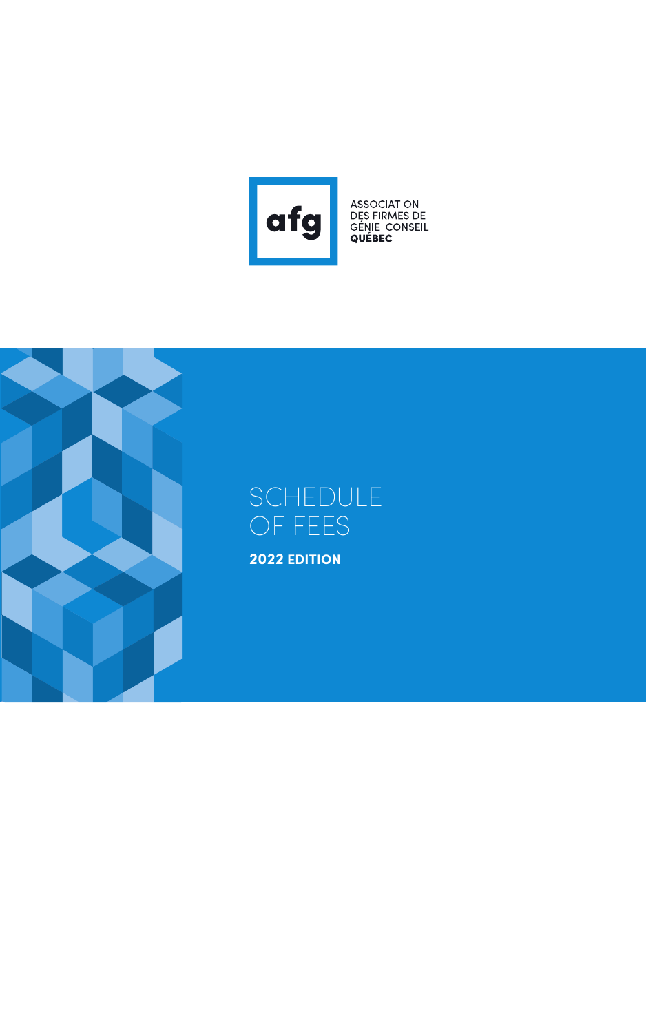

ASSOCIATION<br>DES FIRMES DE<br>GÉNIE-CONSEIL<br>**QUÉBEC** 



# SCHEDULE OF FEES

**2022 EDITION**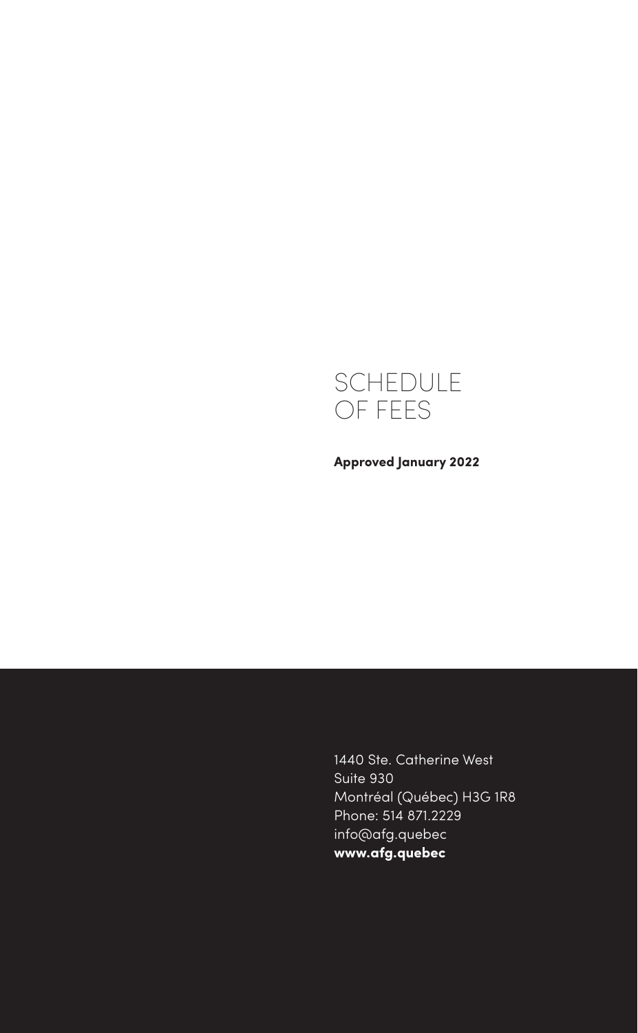

**Approved January 2022**

1440 Ste. Catherine West Suite 930 Montréal (Québec) H3G 1R8 Phone: 514 871.2229 info@afg.quebec **www.afg.quebec**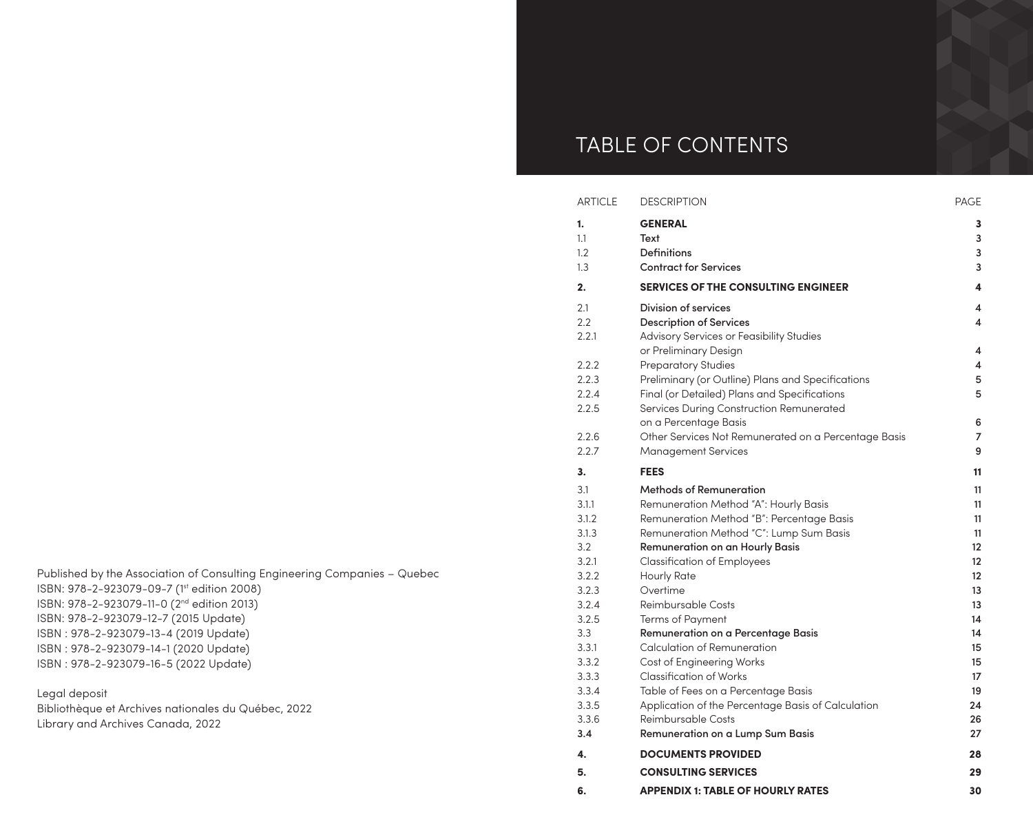# TABLE OF CONTENTS

| <b>ARTICLE</b> | <b>DESCRIPTION</b>                                   | <b>PAGE</b>       |
|----------------|------------------------------------------------------|-------------------|
| 1.             | <b>GENERAL</b>                                       | 3                 |
| 1.1            | Text                                                 | 3                 |
| 1.2            | <b>Definitions</b>                                   | 3                 |
| 1.3            | <b>Contract for Services</b>                         | 3                 |
| 2.             | <b>SERVICES OF THE CONSULTING ENGINEER</b>           | 4                 |
| 2.1            | Division of services                                 | 4                 |
| 2.2            | <b>Description of Services</b>                       | 4                 |
| 2.2.1          | Advisory Services or Feasibility Studies             |                   |
|                | or Preliminary Design                                | 4                 |
| 2.2.2          | <b>Preparatory Studies</b>                           | 4                 |
| 2.2.3          | Preliminary (or Outline) Plans and Specifications    | 5                 |
| 2.2.4          | Final (or Detailed) Plans and Specifications         | 5                 |
| 2.2.5          | Services During Construction Remunerated             |                   |
|                | on a Percentage Basis                                | 6                 |
| 2.2.6          | Other Services Not Remunerated on a Percentage Basis | 7                 |
| 2.2.7          | <b>Management Services</b>                           | 9                 |
| 3.             | <b>FEES</b>                                          | 11                |
| 3.1            | <b>Methods of Remuneration</b>                       | 11                |
| 3.1.1          | Remuneration Method "A": Hourly Basis                | 11                |
| 3.1.2          | Remuneration Method "B": Percentage Basis            | 11                |
| 3.1.3          | Remuneration Method "C": Lump Sum Basis              | 11                |
| 3.2            | <b>Remuneration on an Hourly Basis</b>               | $12 \overline{ }$ |
| 3.2.1          | <b>Classification of Employees</b>                   | $12 \overline{ }$ |
| 3.2.2          | <b>Hourly Rate</b>                                   | $12 \overline{ }$ |
| 3.2.3          | Overtime                                             | 13                |
| 3.2.4          | Reimbursable Costs                                   | 13                |
| 3.2.5          | <b>Terms of Payment</b>                              | 14                |
| 3.3            | Remuneration on a Percentage Basis                   | 14                |
| 3.3.1          | <b>Calculation of Remuneration</b>                   | 15                |
| 3.3.2<br>3.3.3 | Cost of Engineering Works<br>Classification of Works | 15<br>17          |
| 3.3.4          | Table of Fees on a Percentage Basis                  | 19                |
| 3.3.5          | Application of the Percentage Basis of Calculation   | 24                |
| 3.3.6          | Reimbursable Costs                                   | 26                |
| 3.4            | Remuneration on a Lump Sum Basis                     | 27                |
| 4.             | <b>DOCUMENTS PROVIDED</b>                            | 28                |
| 5.             | <b>CONSULTING SERVICES</b>                           | 29                |
|                |                                                      |                   |
| 6.             | <b>APPENDIX 1: TABLE OF HOURLY RATES</b>             | 30                |

Published by the Association of Consulting Engineering Companies – Quebec ISBN: 978-2-923079-09-7 (1st edition 2008) ISBN: 978-2-923079-11-0 (2nd edition 2013) ISBN: 978-2-923079-12-7 (2015 Update) ISBN : 978-2-923079-13-4 (2019 Update) ISBN : 978-2-923079-14-1 (2020 Update) ISBN : 978-2-923079-16-5 (2022 Update)

Legal deposit

Bibliothèque et Archives nationales du Québec, 2022 Library and Archives Canada, 2022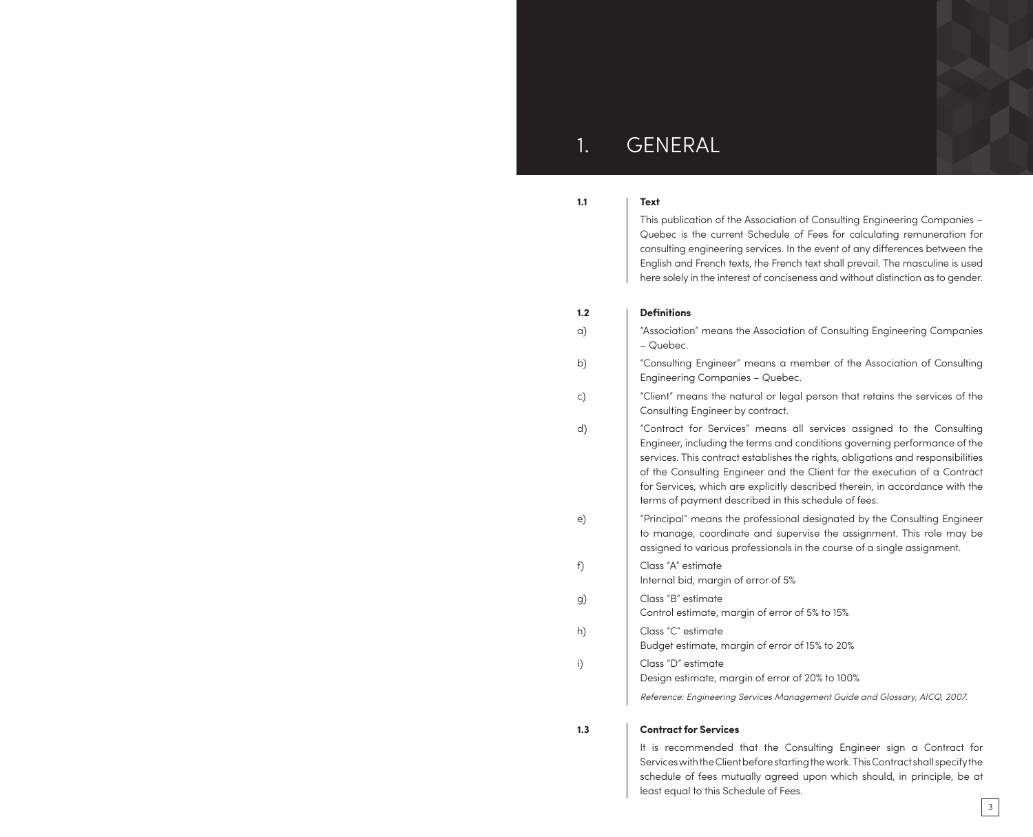# 1. GENERAL

## **1.1 Text**

This publication of the Association of Consulting Engineering Companies – Quebec is the current Schedule of Fees for calculating remuneration for consulting engineering services. In the event of any differences between the English and French texts, the French text shall prevail. The masculine is used here solely in the interest of conciseness and without distinction as to gender.

#### **1.2 Definitions**

| a) | "Association" means the Association of Consulting Engineering Companies<br>- Quebec.                                                                                                                                                                                                                                                                                                                                                                        |
|----|-------------------------------------------------------------------------------------------------------------------------------------------------------------------------------------------------------------------------------------------------------------------------------------------------------------------------------------------------------------------------------------------------------------------------------------------------------------|
| b) | "Consulting Engineer" means a member of the Association of Consulting<br>Engineering Companies - Quebec.                                                                                                                                                                                                                                                                                                                                                    |
| c) | "Client" means the natural or legal person that retains the services of the<br>Consulting Engineer by contract.                                                                                                                                                                                                                                                                                                                                             |
| d) | "Contract for Services" means all services assigned to the Consulting<br>Engineer, including the terms and conditions governing performance of the<br>services. This contract establishes the rights, obligations and responsibilities<br>of the Consulting Engineer and the Client for the execution of a Contract<br>for Services, which are explicitly described therein, in accordance with the<br>terms of payment described in this schedule of fees. |
| e) | "Principal" means the professional designated by the Consulting Engineer<br>to manage, coordinate and supervise the assignment. This role may be<br>assigned to various professionals in the course of a single assignment.                                                                                                                                                                                                                                 |
| f) | Class "A" estimate<br>Internal bid, margin of error of 5%                                                                                                                                                                                                                                                                                                                                                                                                   |
| g) | Class "B" estimate<br>Control estimate, margin of error of 5% to 15%                                                                                                                                                                                                                                                                                                                                                                                        |
| h) | Class "C" estimate<br>Budget estimate, margin of error of 15% to 20%                                                                                                                                                                                                                                                                                                                                                                                        |
| i) | Class "D" estimate<br>Design estimate, margin of error of 20% to 100%                                                                                                                                                                                                                                                                                                                                                                                       |
|    | Reference: Engineering Services Management Guide and Glossary, AICQ, 2007.                                                                                                                                                                                                                                                                                                                                                                                  |
|    |                                                                                                                                                                                                                                                                                                                                                                                                                                                             |

### **1.3 Contract for Services**

It is recommended that the Consulting Engineer sign a Contract for Services with the Client before starting the work. This Contract shall specify the schedule of fees mutually agreed upon which should, in principle, be at least equal to this Schedule of Fees.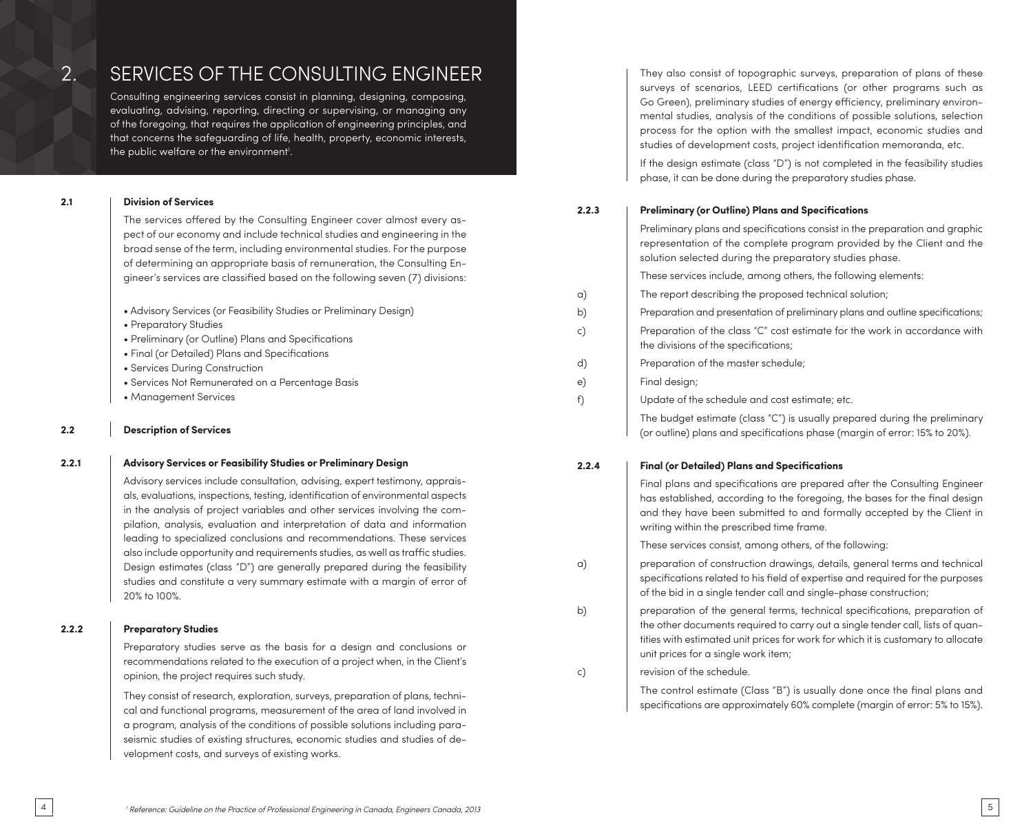# 2. SERVICES OF THE CONSULTING ENGINEER Consulting engineering services consist in planning, designing, composing,

evaluating, advising, reporting, directing or supervising, or managing any of the foregoing, that requires the application of engineering principles, and that concerns the safeguarding of life, health, property, economic interests, the public welfare or the environment<sup>1</sup>.

## **2.1 Division of Services**

The services offered by the Consulting Engineer cover almost every aspect of our economy and include technical studies and engineering in the broad sense of the term, including environmental studies. For the purpose of determining an appropriate basis of remuneration, the Consulting Engineer's services are classified based on the following seven (7) divisions:

|  |  |  |  | • Advisory Services (or Feasibility Studies or Preliminary Design) |  |
|--|--|--|--|--------------------------------------------------------------------|--|
|  |  |  |  |                                                                    |  |

- Preparatory Studies
- Preliminary (or Outline) Plans and Specifications
- Final (or Detailed) Plans and Specifications
- Services During Construction
- Services Not Remunerated on a Percentage Basis
- Management Services

### **2.2 Description of Services**

### **2.2.1 Advisory Services or Feasibility Studies or Preliminary Design**

Advisory services include consultation, advising, expert testimony, appraisals, evaluations, inspections, testing, identification of environmental aspects in the analysis of project variables and other services involving the compilation, analysis, evaluation and interpretation of data and information leading to specialized conclusions and recommendations. These services also include opportunity and requirements studies, as well as traffic studies. Design estimates (class "D") are generally prepared during the feasibility studies and constitute a very summary estimate with a margin of error of 20% to 100%.

### **2.2.2 Preparatory Studies**

Preparatory studies serve as the basis for a design and conclusions or

recommendations related to the execution of a project when, in the Client's opinion, the project requires such study.

They consist of research, exploration, surveys, preparation of plans, technical and functional programs, measurement of the area of land involved in a program, analysis of the conditions of possible solutions including paraseismic studies of existing structures, economic studies and studies of development costs, and surveys of existing works.

They also consist of topographic surveys, preparation of plans of these surveys of scenarios, LEED certifications (or other programs such as Go Green), preliminary studies of energy efficiency, preliminary environmental studies, analysis of the conditions of possible solutions, selection process for the option with the smallest impact, economic studies and studies of development costs, project identification memoranda, etc.

If the design estimate (class "D") is not completed in the feasibility studies phase, it can be done during the preparatory studies phase.

# **2.2.3 Preliminary (or Outline) Plans and Specifications**

|    | Preliminary plans and specifications consist in the preparation and graphic<br>representation of the complete program provided by the Client and the<br>solution selected during the preparatory studies phase. |
|----|-----------------------------------------------------------------------------------------------------------------------------------------------------------------------------------------------------------------|
|    | These services include, among others, the following elements:                                                                                                                                                   |
| a) | The report describing the proposed technical solution;                                                                                                                                                          |
| b) | Preparation and presentation of preliminary plans and outline specifications;                                                                                                                                   |
| c) | Preparation of the class "C" cost estimate for the work in accordance with<br>the divisions of the specifications;                                                                                              |
| d) | Preparation of the master schedule;                                                                                                                                                                             |
| e) | Final design;                                                                                                                                                                                                   |
| f) | Update of the schedule and cost estimate; etc.                                                                                                                                                                  |
|    | The budget estimate (class " $C$ ") is usually prepared during the preliminary                                                                                                                                  |

# **2.2.4 Final (or Detailed) Plans and Specifications**

Final plans and specifications are prepared after the Consulting Engineer has established, according to the foregoing, the bases for the final design and they have been submitted to and formally accepted by the Client in writing within the prescribed time frame.

(or outline) plans and specifications phase (margin of error: 15% to 20%).

These services consist, among others, of the following:

- a) preparation of construction drawings, details, general terms and technical specifications related to his field of expertise and required for the purposes of the bid in a single tender call and single-phase construction;
- b) preparation of the general terms, technical specifications, preparation of the other documents required to carry out a single tender call, lists of quantities with estimated unit prices for work for which it is customary to allocate unit prices for a single work item;

c) revision of the schedule.

The control estimate (Class "B") is usually done once the final plans and specifications are approximately 60% complete (margin of error: 5% to 15%).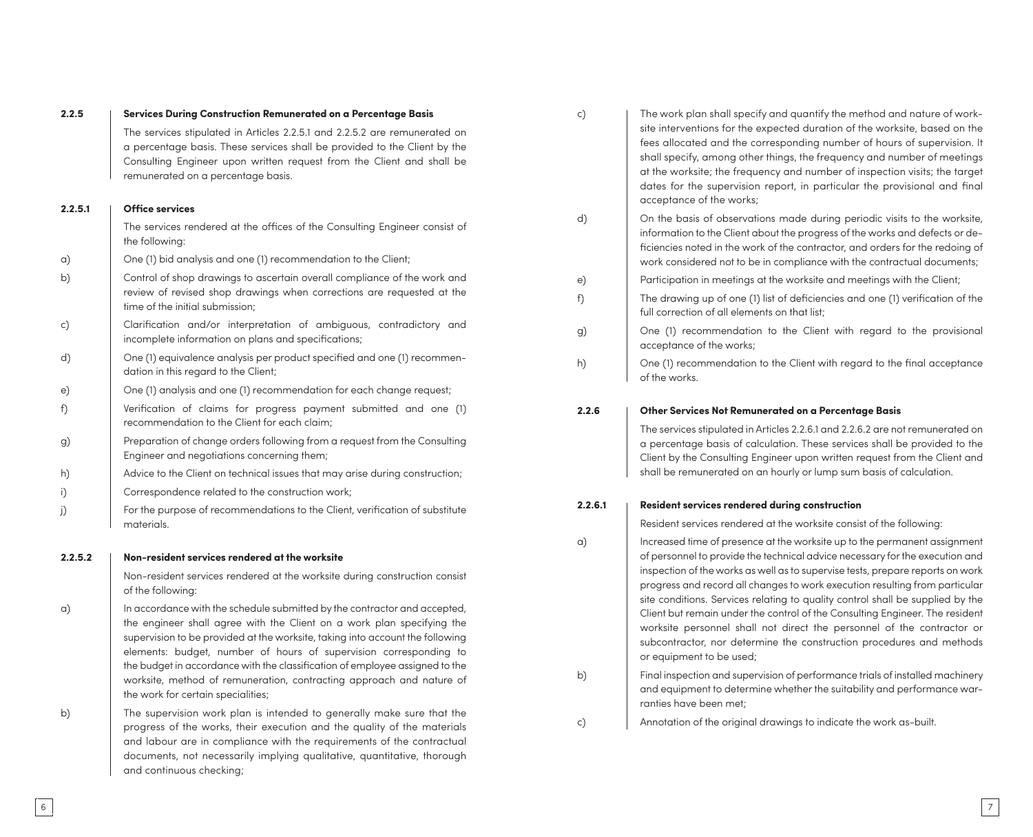| 2.2.5   | Services During Construction Remunerated on a Percentage Basis                                                                                                                                                                                                                                                                                                                                                                                                                                          | c)       |
|---------|---------------------------------------------------------------------------------------------------------------------------------------------------------------------------------------------------------------------------------------------------------------------------------------------------------------------------------------------------------------------------------------------------------------------------------------------------------------------------------------------------------|----------|
|         | The services stipulated in Articles 2.2.5.1 and 2.2.5.2 are remunerated on<br>a percentage basis. These services shall be provided to the Client by the<br>Consulting Engineer upon written request from the Client and shall be<br>remunerated on a percentage basis.                                                                                                                                                                                                                                  |          |
| 2.2.5.1 | <b>Office services</b>                                                                                                                                                                                                                                                                                                                                                                                                                                                                                  |          |
|         | The services rendered at the offices of the Consulting Engineer consist of<br>the following:                                                                                                                                                                                                                                                                                                                                                                                                            | d)       |
| a)      | One (1) bid analysis and one (1) recommendation to the Client;                                                                                                                                                                                                                                                                                                                                                                                                                                          |          |
| b)      | Control of shop drawings to ascertain overall compliance of the work and<br>review of revised shop drawings when corrections are requested at the<br>time of the initial submission:                                                                                                                                                                                                                                                                                                                    | e)<br>f) |
| c)      | Clarification and/or interpretation of ambiguous, contradictory and<br>incomplete information on plans and specifications;                                                                                                                                                                                                                                                                                                                                                                              | g)       |
| d)      | One (1) equivalence analysis per product specified and one (1) recommen-<br>dation in this regard to the Client;                                                                                                                                                                                                                                                                                                                                                                                        | h)       |
| e)      | One (1) analysis and one (1) recommendation for each change request;                                                                                                                                                                                                                                                                                                                                                                                                                                    |          |
| f)      | Verification of claims for progress payment submitted and one (1)<br>recommendation to the Client for each claim;                                                                                                                                                                                                                                                                                                                                                                                       | 2.2      |
| g)      | Preparation of change orders following from a request from the Consulting<br>Engineer and negotiations concerning them;                                                                                                                                                                                                                                                                                                                                                                                 |          |
| h)      | Advice to the Client on technical issues that may arise during construction;                                                                                                                                                                                                                                                                                                                                                                                                                            |          |
| i)      | Correspondence related to the construction work;                                                                                                                                                                                                                                                                                                                                                                                                                                                        |          |
| j)      | For the purpose of recommendations to the Client, verification of substitute<br>materials.                                                                                                                                                                                                                                                                                                                                                                                                              | 2.2      |
| 2.2.5.2 | Non-resident services rendered at the worksite                                                                                                                                                                                                                                                                                                                                                                                                                                                          | a)       |
|         | Non-resident services rendered at the worksite during construction consist<br>of the following:                                                                                                                                                                                                                                                                                                                                                                                                         |          |
| a)      | In accordance with the schedule submitted by the contractor and accepted,<br>the engineer shall agree with the Client on a work plan specifying the<br>supervision to be provided at the worksite, taking into account the following<br>elements: budget, number of hours of supervision corresponding to<br>the budget in accordance with the classification of employee assigned to the<br>worksite, method of remuneration, contracting approach and nature of<br>the work for certain specialities; | b)       |
| b)      | The supervision work plan is intended to generally make sure that the<br>progress of the works, their execution and the quality of the materials<br>and labour are in compliance with the requirements of the contractual<br>documents, not necessarily implying qualitative, quantitative, thorough<br>and continuous checking;                                                                                                                                                                        | c)       |

| c) | The work plan shall specify and quantify the method and nature of work-<br>site interventions for the expected duration of the worksite, based on the<br>fees allocated and the corresponding number of hours of supervision. It<br>shall specify, among other things, the frequency and number of meetings<br>at the worksite; the frequency and number of inspection visits; the target<br>dates for the supervision report, in particular the provisional and final<br>acceptance of the works; |
|----|----------------------------------------------------------------------------------------------------------------------------------------------------------------------------------------------------------------------------------------------------------------------------------------------------------------------------------------------------------------------------------------------------------------------------------------------------------------------------------------------------|
| d) | On the basis of observations made during periodic visits to the worksite,<br>information to the Client about the progress of the works and defects or de-<br>ficiencies noted in the work of the contractor, and orders for the redoing of<br>work considered not to be in compliance with the contractual documents;                                                                                                                                                                              |
| e) | Participation in meetings at the worksite and meetings with the Client;                                                                                                                                                                                                                                                                                                                                                                                                                            |
| f) | The drawing up of one (1) list of deficiencies and one (1) verification of the<br>full correction of all elements on that list;                                                                                                                                                                                                                                                                                                                                                                    |
| g) | One (1) recommendation to the Client with regard to the provisional<br>acceptance of the works;                                                                                                                                                                                                                                                                                                                                                                                                    |
| h) | One (1) recommendation to the Client with regard to the final acceptance<br>of the works.                                                                                                                                                                                                                                                                                                                                                                                                          |

**2.2.6 Other Services Not Remunerated on a Percentage Basis**

The services stipulated in Articles 2.2.6.1 and 2.2.6.2 are not remunerated on a percentage basis of calculation. These services shall be provided to the Client by the Consulting Engineer upon written request from the Client and shall be remunerated on an hourly or lump sum basis of calculation.

#### **2.2.6.1 Resident services rendered during construction**

Resident services rendered at the worksite consist of the following:

- a) Increased time of presence at the worksite up to the permanent assignment of personnel to provide the technical advice necessary for the execution and inspection of the works as well as to supervise tests, prepare reports on work progress and record all changes to work execution resulting from particular site conditions. Services relating to quality control shall be supplied by the Client but remain under the control of the Consulting Engineer. The resident worksite personnel shall not direct the personnel of the contractor or subcontractor, nor determine the construction procedures and methods or equipment to be used;
- Final inspection and supervision of performance trials of installed machinery and equipment to determine whether the suitability and performance war ranties have been met;

Annotation of the original drawings to indicate the work as-built.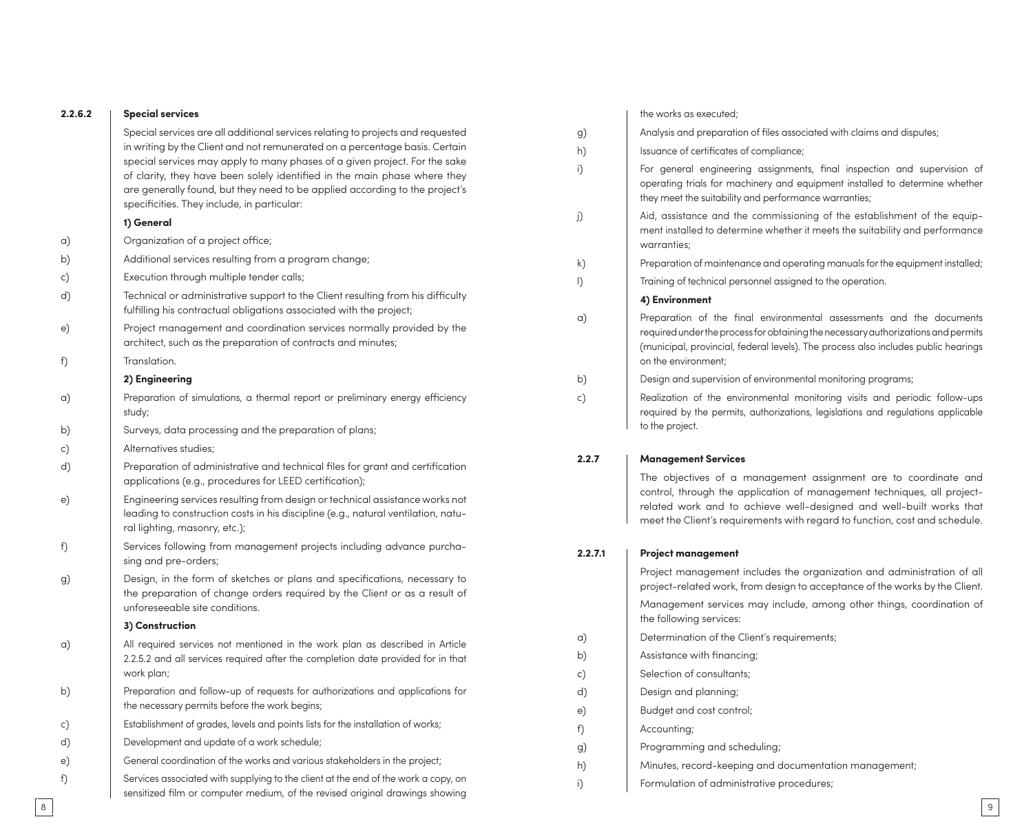| 2.2.6.2 | <b>Special services</b>                                                                                                                                                                                                                                                               |              | the works as executed;                                                                                                                                                                                                                          |
|---------|---------------------------------------------------------------------------------------------------------------------------------------------------------------------------------------------------------------------------------------------------------------------------------------|--------------|-------------------------------------------------------------------------------------------------------------------------------------------------------------------------------------------------------------------------------------------------|
|         | Special services are all additional services relating to projects and requested                                                                                                                                                                                                       | g)           | Analysis and preparation of files associated with claims and disputes;                                                                                                                                                                          |
|         | in writing by the Client and not remunerated on a percentage basis. Certain                                                                                                                                                                                                           | h)           | Issuance of certificates of compliance;                                                                                                                                                                                                         |
|         | special services may apply to many phases of a given project. For the sake<br>of clarity, they have been solely identified in the main phase where they<br>are generally found, but they need to be applied according to the project's<br>specificities. They include, in particular: | i)           | For general engineering assignments, final inspection and supervision of<br>operating trials for machinery and equipment installed to determine whether<br>they meet the suitability and performance warranties;                                |
|         | 1) General                                                                                                                                                                                                                                                                            | j)           | Aid, assistance and the commissioning of the establishment of the equip-                                                                                                                                                                        |
| a)      | Organization of a project office;                                                                                                                                                                                                                                                     |              | ment installed to determine whether it meets the suitability and performance<br>warranties;                                                                                                                                                     |
| b)      | Additional services resulting from a program change;                                                                                                                                                                                                                                  | k)           | Preparation of maintenance and operating manuals for the equipment installed;                                                                                                                                                                   |
| c)      | Execution through multiple tender calls;                                                                                                                                                                                                                                              | $\mathsf{D}$ | Training of technical personnel assigned to the operation.                                                                                                                                                                                      |
| d)      | Technical or administrative support to the Client resulting from his difficulty<br>fulfilling his contractual obligations associated with the project;                                                                                                                                |              | 4) Environment                                                                                                                                                                                                                                  |
| e)      | Project management and coordination services normally provided by the<br>architect, such as the preparation of contracts and minutes;                                                                                                                                                 | a)           | Preparation of the final environmental assessments and the documents<br>required under the process for obtaining the necessary authorizations and permits<br>(municipal, provincial, federal levels). The process also includes public hearings |
| f)      | Translation.                                                                                                                                                                                                                                                                          |              | on the environment;                                                                                                                                                                                                                             |
|         | 2) Engineering                                                                                                                                                                                                                                                                        | b)           | Design and supervision of environmental monitoring programs;                                                                                                                                                                                    |
| a)      | Preparation of simulations, a thermal report or preliminary energy efficiency<br>study;                                                                                                                                                                                               | c)           | Realization of the environmental monitoring visits and periodic follow-ups<br>required by the permits, authorizations, legislations and regulations applicable                                                                                  |
| b)      | Surveys, data processing and the preparation of plans;                                                                                                                                                                                                                                |              | to the project.                                                                                                                                                                                                                                 |
| c)      | Alternatives studies;                                                                                                                                                                                                                                                                 | 2.2.7        |                                                                                                                                                                                                                                                 |
| d)      | Preparation of administrative and technical files for grant and certification<br>applications (e.g., procedures for LEED certification);                                                                                                                                              |              | <b>Management Services</b><br>The objectives of a management assignment are to coordinate and                                                                                                                                                   |
| e)      | Engineering services resulting from design or technical assistance works not<br>leading to construction costs in his discipline (e.g., natural ventilation, natu-<br>ral lighting, masonry, etc.);                                                                                    |              | control, through the application of management techniques, all project-<br>related work and to achieve well-designed and well-built works that<br>meet the Client's requirements with regard to function, cost and schedule.                    |
| f)      | Services following from management projects including advance purcha-<br>sing and pre-orders;                                                                                                                                                                                         | 2.2.7.1      | <b>Project management</b>                                                                                                                                                                                                                       |
| g)      | Design, in the form of sketches or plans and specifications, necessary to<br>the preparation of change orders required by the Client or as a result of                                                                                                                                |              | Project management includes the organization and administration of all<br>project-related work, from design to acceptance of the works by the Client.                                                                                           |
|         | unforeseeable site conditions.<br>3) Construction                                                                                                                                                                                                                                     |              | Management services may include, among other things, coordination of<br>the following services:                                                                                                                                                 |
| a)      | All required services not mentioned in the work plan as described in Article                                                                                                                                                                                                          | a)           | Determination of the Client's requirements;                                                                                                                                                                                                     |
|         | 2.2.5.2 and all services required after the completion date provided for in that                                                                                                                                                                                                      | b)           | Assistance with financing;                                                                                                                                                                                                                      |
|         | work plan;                                                                                                                                                                                                                                                                            | c)           | Selection of consultants;                                                                                                                                                                                                                       |
| b)      | Preparation and follow-up of requests for authorizations and applications for                                                                                                                                                                                                         | d)           | Design and planning;                                                                                                                                                                                                                            |
|         | the necessary permits before the work begins;                                                                                                                                                                                                                                         | e)           | Budget and cost control;                                                                                                                                                                                                                        |
| c)      | Establishment of grades, levels and points lists for the installation of works;                                                                                                                                                                                                       | f)           | Accounting;                                                                                                                                                                                                                                     |
| d)      | Development and update of a work schedule;                                                                                                                                                                                                                                            | g)           | Programming and scheduling;                                                                                                                                                                                                                     |
| e)      | General coordination of the works and various stakeholders in the project;                                                                                                                                                                                                            | h)           | Minutes, record-keeping and documentation management;                                                                                                                                                                                           |
| f)      | Services associated with supplying to the client at the end of the work a copy, on<br>sensitized film or computer medium, of the revised original drawings showing                                                                                                                    | i)           | Formulation of administrative procedures;                                                                                                                                                                                                       |

8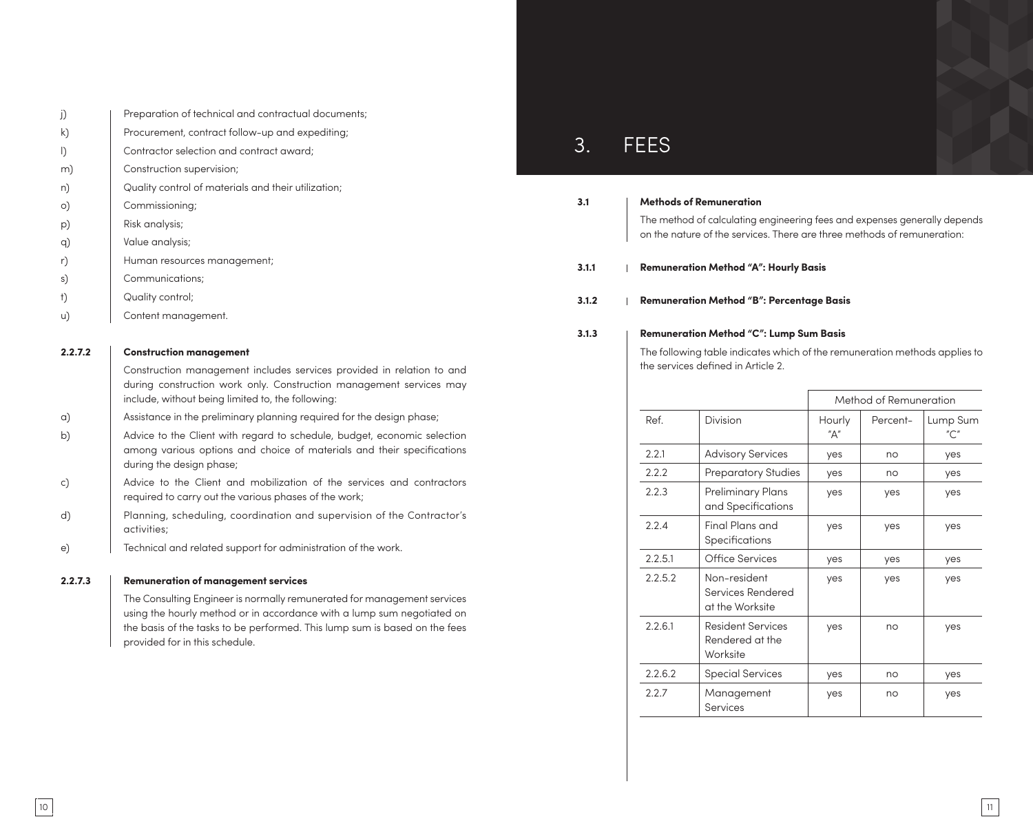| j) | Preparation of technical and contractual documents; |
|----|-----------------------------------------------------|
| k) | Procurement, contract follow-up and expediting;     |
| I) | Contractor selection and contract award;            |
| m) | Construction supervision;                           |
| n) | Quality control of materials and their utilization; |
| O) | Commissioning;                                      |
| p) | Risk analysis;                                      |
| q) | Value analysis;                                     |
| r) | Human resources management;                         |
| s) | Communications;                                     |
|    |                                                     |

- t) Quality control;
- u) Content management.

### **2.2.7.2 Construction management**

Construction management includes services provided in relation to and during construction work only. Construction management services may include, without being limited to, the following:

- a) Assistance in the preliminary planning required for the design phase;
- b) Advice to the Client with regard to schedule, budget, economic selection among various options and choice of materials and their specifications during the design phase;
- c) Advice to the Client and mobilization of the services and contractors required to carry out the various phases of the work;
- d) Planning, scheduling, coordination and supervision of the Contractor's activities;
- e) Technical and related support for administration of the work.

#### **2.2.7.3 Remuneration of management services**

The Consulting Engineer is normally remunerated for management services using the hourly method or in accordance with a lump sum negotiated on the basis of the tasks to be performed. This lump sum is based on the fees provided for in this schedule.

# 3. FEES

#### **3.1 Methods of Remuneration**

The method of calculating engineering fees and expenses generally depends on the nature of the services. There are three methods of remuneration:

#### **3.1.1 Remuneration Method "A": Hourly Basis**

#### **3.1.2 Remuneration Method "B": Percentage Basis**

#### **3.1.3 Remuneration Method "C": Lump Sum Basis**

The following table indicates which of the remuneration methods applies to the services defined in Article 2.

|         |                                                         |               | Method of Remuneration |                 |
|---------|---------------------------------------------------------|---------------|------------------------|-----------------|
| Ref.    | Division                                                | Hourly<br>"Д" | Percent-               | Lump Sum<br>″C″ |
| 2.2.1   | <b>Advisory Services</b>                                | yes           | no                     | yes             |
| 2.2.2   | <b>Preparatory Studies</b>                              | yes           | no                     | yes             |
| 2.2.3   | Preliminary Plans<br>and Specifications                 | yes           | yes                    | yes             |
| 2.2.4   | Final Plans and<br>Specifications                       | yes           | yes                    | yes             |
| 2.2.5.1 | <b>Office Services</b>                                  | yes           | yes                    | yes             |
| 2.2.5.2 | Non-resident<br>Services Rendered<br>at the Worksite    | yes           | yes                    | yes             |
| 2.2.6.1 | <b>Resident Services</b><br>Rendered at the<br>Worksite | yes           | no                     | yes             |
| 2.2.6.2 | <b>Special Services</b>                                 | yes           | no                     | yes             |
| 2.2.7   | Management<br>Services                                  | yes           | no                     | yes             |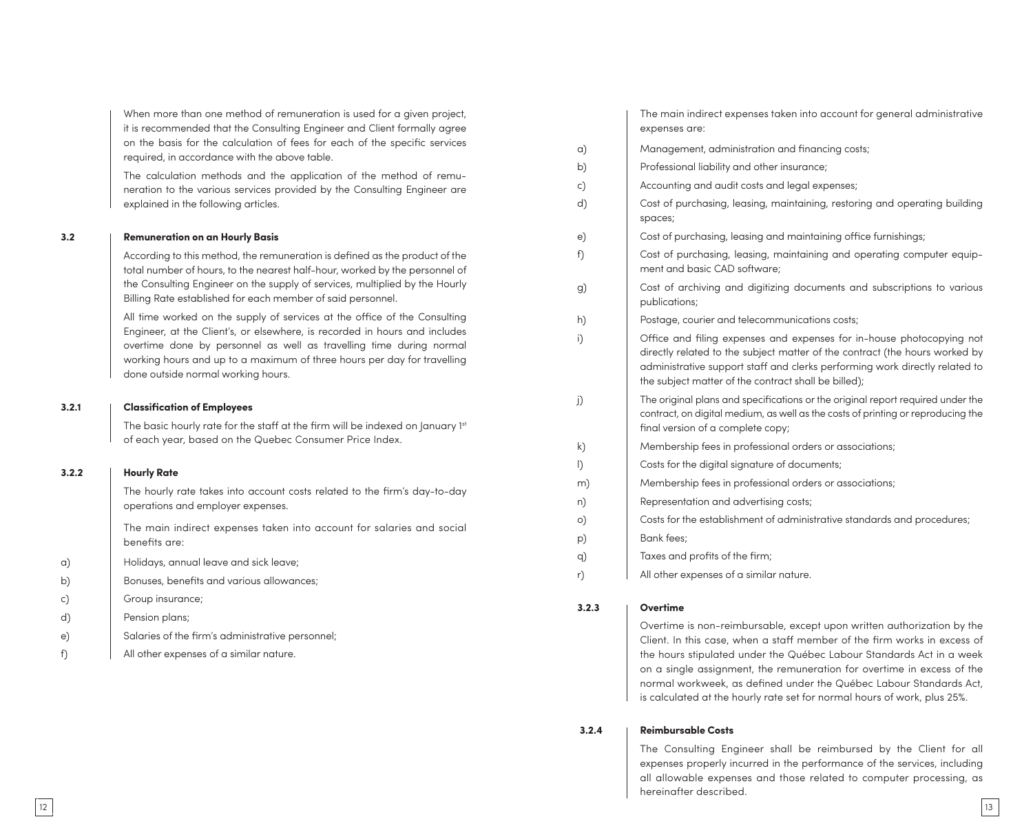When more than one method of remuneration is used for a given project, it is recommended that the Consulting Engineer and Client formally agree on the basis for the calculation of fees for each of the specific services required, in accordance with the above table.

The calculation methods and the application of the method of remuneration to the various services provided by the Consulting Engineer are explained in the following articles.

#### **3.2 Remuneration on an Hourly Basis**

According to this method, the remuneration is defined as the product of the total number of hours, to the nearest half-hour, worked by the personnel of the Consulting Engineer on the supply of services, multiplied by the Hourly Billing Rate established for each member of said personnel.

All time worked on the supply of services at the office of the Consulting Engineer, at the Client's, or elsewhere, is recorded in hours and includes overtime done by personnel as well as travelling time during normal working hours and up to a maximum of three hours per day for travelling done outside normal working hours.

#### **3.2.1 Classification of Employees**

The basic hourly rate for the staff at the firm will be indexed on January 1st of each year, based on the Quebec Consumer Price Index.

# **3.2.2 Hourly Rate**

The hourly rate takes into account costs related to the firm's day-to-day operations and employer expenses.

The main indirect expenses taken into account for salaries and social benefits are:

- a) Holidays, annual leave and sick leave;
- b) Bonuses, benefits and various allowances;
- c) Group insurance;
- d) Pension plans;
- e) Salaries of the firm's administrative personnel;
- f) All other expenses of a similar nature.

| The main indirect expenses taken into account for general administrative |  |
|--------------------------------------------------------------------------|--|
| expenses are:                                                            |  |

| a) | Management, administration and financing costs;                                                                                                                                                                                                                                             |
|----|---------------------------------------------------------------------------------------------------------------------------------------------------------------------------------------------------------------------------------------------------------------------------------------------|
| b) | Professional liability and other insurance;                                                                                                                                                                                                                                                 |
| c) | Accounting and audit costs and legal expenses;                                                                                                                                                                                                                                              |
| d) | Cost of purchasing, leasing, maintaining, restoring and operating building<br>spaces;                                                                                                                                                                                                       |
| e) | Cost of purchasing, leasing and maintaining office furnishings;                                                                                                                                                                                                                             |
| f) | Cost of purchasing, leasing, maintaining and operating computer equip-<br>ment and basic CAD software;                                                                                                                                                                                      |
| g) | Cost of archiving and digitizing documents and subscriptions to various<br>publications;                                                                                                                                                                                                    |
| h) | Postage, courier and telecommunications costs;                                                                                                                                                                                                                                              |
| i) | Office and filing expenses and expenses for in-house photocopying not<br>directly related to the subject matter of the contract (the hours worked by<br>administrative support staff and clerks performing work directly related to<br>the subject matter of the contract shall be billed); |
| j) | The original plans and specifications or the original report required under the<br>contract, on digital medium, as well as the costs of printing or reproducing the<br>final version of a complete copy;                                                                                    |
| k) | Membership fees in professional orders or associations;                                                                                                                                                                                                                                     |
| I) | Costs for the digital signature of documents;                                                                                                                                                                                                                                               |
| m) | Membership fees in professional orders or associations;                                                                                                                                                                                                                                     |
| n) | Representation and advertising costs;                                                                                                                                                                                                                                                       |
| o) | Costs for the establishment of administrative standards and procedures;                                                                                                                                                                                                                     |
| p) | Bank fees;                                                                                                                                                                                                                                                                                  |
| q) | Taxes and profits of the firm;                                                                                                                                                                                                                                                              |
| r) | All other expenses of a similar nature.                                                                                                                                                                                                                                                     |
|    |                                                                                                                                                                                                                                                                                             |

#### **3.2.3 Overtime**

Overtime is non-reimbursable, except upon written authorization by the Client. In this case, when a staff member of the firm works in excess of the hours stipulated under the Québec Labour Standards Act in a week on a single assignment, the remuneration for overtime in excess of the normal workweek, as defined under the Québec Labour Standards Act, is calculated at the hourly rate set for normal hours of work, plus 25%.

#### **3.2.4 Reimbursable Costs**

The Consulting Engineer shall be reimbursed by the Client for all expenses properly incurred in the performance of the services, including all allowable expenses and those related to computer processing, as hereinafter described.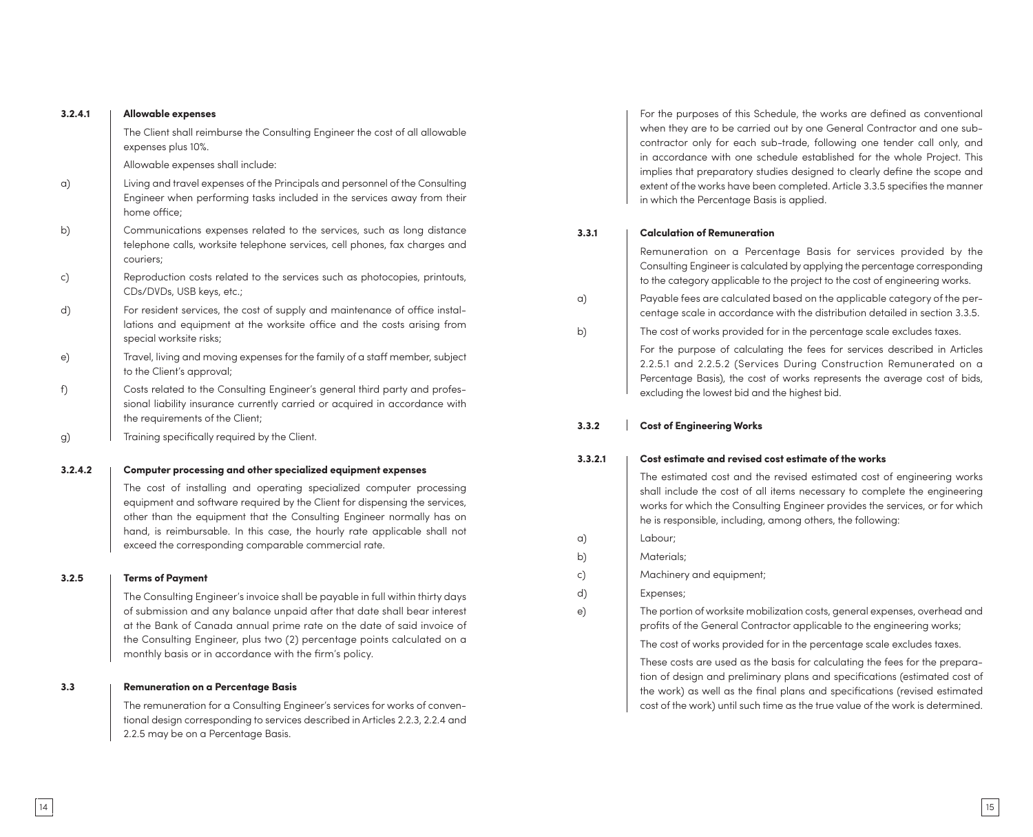| 3.2.4.1 | <b>Allowable expenses</b>                                                                                                                                                                                                                                                                                                                                        |
|---------|------------------------------------------------------------------------------------------------------------------------------------------------------------------------------------------------------------------------------------------------------------------------------------------------------------------------------------------------------------------|
|         | The Client shall reimburse the Consulting Engineer the cost of all allowable<br>expenses plus 10%.                                                                                                                                                                                                                                                               |
|         | Allowable expenses shall include:                                                                                                                                                                                                                                                                                                                                |
| a)      | Living and travel expenses of the Principals and personnel of the Consulting<br>Engineer when performing tasks included in the services away from their<br>home office;                                                                                                                                                                                          |
| b)      | Communications expenses related to the services, such as long distance<br>telephone calls, worksite telephone services, cell phones, fax charges and<br>couriers;                                                                                                                                                                                                |
| c)      | Reproduction costs related to the services such as photocopies, printouts,<br>CDs/DVDs, USB keys, etc.;                                                                                                                                                                                                                                                          |
| d)      | For resident services, the cost of supply and maintenance of office instal-<br>lations and equipment at the worksite office and the costs arising from<br>special worksite risks;                                                                                                                                                                                |
| e)      | Travel, living and moving expenses for the family of a staff member, subject<br>to the Client's approval;                                                                                                                                                                                                                                                        |
| f)      | Costs related to the Consulting Engineer's general third party and profes-<br>sional liability insurance currently carried or acquired in accordance with<br>the requirements of the Client;                                                                                                                                                                     |
| g)      | Training specifically required by the Client.                                                                                                                                                                                                                                                                                                                    |
| 3.2.4.2 | Computer processing and other specialized equipment expenses                                                                                                                                                                                                                                                                                                     |
|         | The cost of installing and operating specialized computer processing<br>equipment and software required by the Client for dispensing the services,<br>other than the equipment that the Consulting Engineer normally has on<br>hand, is reimbursable. In this case, the hourly rate applicable shall not<br>exceed the corresponding comparable commercial rate. |
| 3.2.5   | <b>Terms of Payment</b>                                                                                                                                                                                                                                                                                                                                          |
|         | The Consulting Engineer's invoice shall be payable in full within thirty days<br>of submission and any balance unpaid after that date shall bear interest<br>at the Bank of Canada annual prime rate on the date of said invoice of<br>the Consulting Engineer, plus two (2) percentage points calculated on a                                                   |

# For the purposes of this Schedule, the works are defined as conventional when they are to be carried out by one General Contractor and one subcontractor only for each sub-trade, following one tender call only, and in accordance with one schedule established for the whole Project. This implies that preparatory studies designed to clearly define the scope and extent of the works have been completed. Article 3.3.5 specifies the manner in which the Percentage Basis is applied.

### **3.3.1 Calculation of Remuneration**

Remuneration on a Percentage Basis for services provided by the Consulting Engineer is calculated by applying the percentage corresponding to the category applicable to the project to the cost of engineering works.

- a) Payable fees are calculated based on the applicable category of the percentage scale in accordance with the distribution detailed in section 3.3.5.
- b) The cost of works provided for in the percentage scale excludes taxes.

For the purpose of calculating the fees for services described in Articles 2.2.5.1 and 2.2.5.2 (Services During Construction Remunerated on a Percentage Basis), the cost of works represents the average cost of bids, excluding the lowest bid and the highest bid.

#### **3.3.2 Cost of Engineering Works**

#### **3.3.2.1 Cost estimate and revised cost estimate of the works**

The estimated cost and the revised estimated cost of engineering works shall include the cost of all items necessary to complete the engineering works for which the Consulting Engineer provides the services, or for which he is responsible, including, among others, the following:

- a) Labour;
- b) Materials;
- c) Machinery and equipment;
- d) Expenses;

e) The portion of worksite mobilization costs, general expenses, overhead and profits of the General Contractor applicable to the engineering works;

The cost of works provided for in the percentage scale excludes taxes.

These costs are used as the basis for calculating the fees for the preparation of design and preliminary plans and specifications (estimated cost of the work) as well as the final plans and specifications (revised estimated cost of the work) until such time as the true value of the work is determined.

# **3.3 Remuneration on a Percentage Basis**

The remuneration for a Consulting Engineer's services for works of conventional design corresponding to services described in Articles 2.2.3, 2.2.4 and 2.2.5 may be on a Percentage Basis.

monthly basis or in accordance with the firm's policy.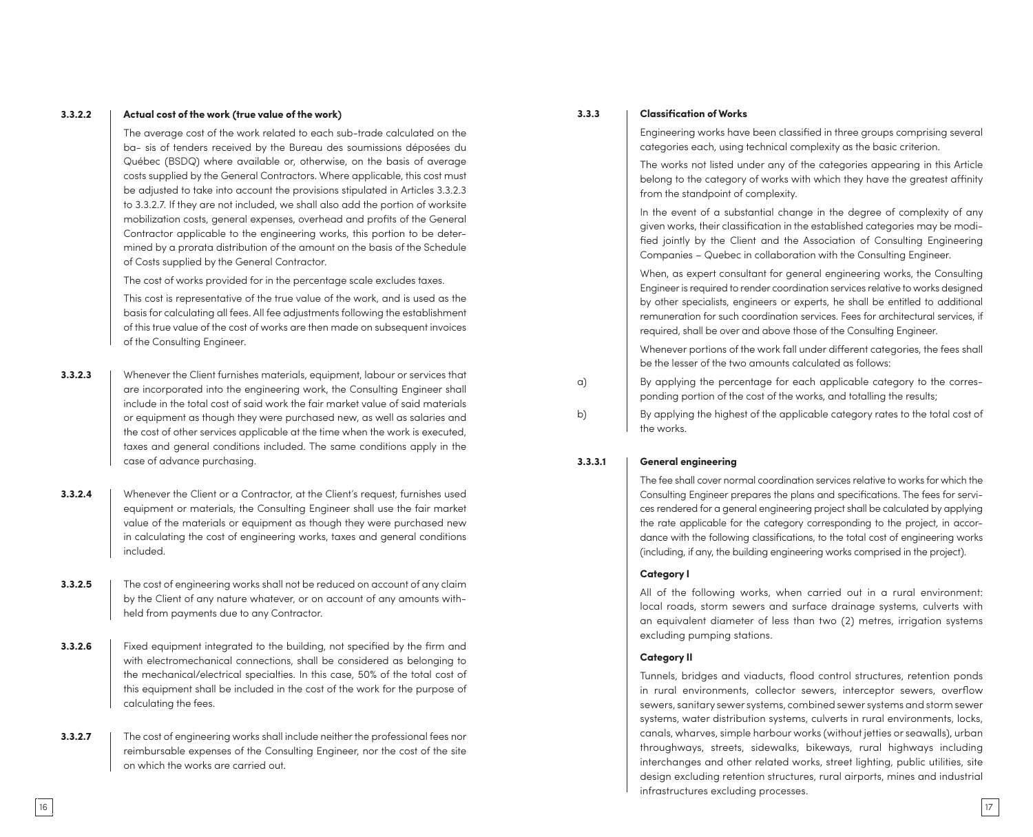#### **3.3.2.2 Actual cost of the work (true value of the work)**

The average cost of the work related to each sub-trade calculated on the ba- sis of tenders received by the Bureau des soumissions déposées du Québec (BSDQ) where available or, otherwise, on the basis of average costs supplied by the General Contractors. Where applicable, this cost must be adjusted to take into account the provisions stipulated in Articles 3.3.2.3 to 3.3.2.7. If they are not included, we shall also add the portion of worksite mobilization costs, general expenses, overhead and profits of the General Contractor applicable to the engineering works, this portion to be deter mined by a prorata distribution of the amount on the basis of the Schedule of Costs supplied by the General Contractor.

The cost of works provided for in the percentage scale excludes taxes.

This cost is representative of the true value of the work, and is used as the basis for calculating all fees. All fee adjustments following the establishment of this true value of the cost of works are then made on subsequent invoices of the Consulting Engineer.

- **3.3.2.3** | Whenever the Client furnishes materials, equipment, labour or services that are incorporated into the engineering work, the Consulting Engineer shall include in the total cost of said work the fair market value of said materials or equipment as though they were purchased new, as well as salaries and the cost of other services applicable at the time when the work is executed, taxes and general conditions included. The same conditions apply in the case of advance purchasing.
- **3.3.2.4** | Whenever the Client or a Contractor, at the Client's request, furnishes used equipment or materials, the Consulting Engineer shall use the fair market value of the materials or equipment as though they were purchased new in calculating the cost of engineering works, taxes and general conditions included.
- **3.3.2.5** The cost of engineering works shall not be reduced on account of any claim by the Client of any nature whatever, or on account of any amounts with held from payments due to any Contractor.
- **3.3.2.6** Fixed equipment integrated to the building, not specified by the firm and with electromechanical connections, shall be considered as belonging to the mechanical/electrical specialties. In this case, 50% of the total cost of this equipment shall be included in the cost of the work for the purpose of calculating the fees.

**3.3.2.7** The cost of engineering works shall include neither the professional fees nor reimbursable expenses of the Consulting Engineer, nor the cost of the site on which the works are carried out.

### **3.3.3 Classification of Works**

Engineering works have been classified in three groups comprising several categories each, using technical complexity as the basic criterion.

The works not listed under any of the categories appearing in this Article belong to the category of works with which they have the greatest affinity from the standpoint of complexity.

In the event of a substantial change in the degree of complexity of any given works, their classification in the established categories may be modi fied jointly by the Client and the Association of Consulting Engineering Companies – Quebec in collaboration with the Consulting Engineer.

When, as expert consultant for general engineering works, the Consulting Engineer is required to render coordination services relative to works designed by other specialists, engineers or experts, he shall be entitled to additional remuneration for such coordination services. Fees for architectural services, if required, shall be over and above those of the Consulting Engineer.

Whenever portions of the work fall under different categories, the fees shall be the lesser of the two amounts calculated as follows:

a) By applying the percentage for each applicable category to the corresponding portion of the cost of the works, and totalling the results;

b) By applying the highest of the applicable category rates to the total cost of the works.

#### **3.3.3.1 General engineering**

The fee shall cover normal coordination services relative to works for which the Consulting Engineer prepares the plans and specifications. The fees for services rendered for a general engineering project shall be calculated by applying the rate applicable for the category corresponding to the project, in accor dance with the following classifications, to the total cost of engineering works (including, if any, the building engineering works comprised in the project).

#### **Category I**

All of the following works, when carried out in a rural environment: local roads, storm sewers and surface drainage systems, culverts with an equivalent diameter of less than two (2) metres, irrigation systems excluding pumping stations.

#### **Category II**

Tunnels, bridges and viaducts, flood control structures, retention ponds in rural environments, collector sewers, interceptor sewers, overflow sewers, sanitary sewer systems, combined sewer systems and storm sewer systems, water distribution systems, culverts in rural environments, locks, canals, wharves, simple harbour works (without jetties or seawalls), urban throughways, streets, sidewalks, bikeways, rural highways including interchanges and other related works, street lighting, public utilities, site design excluding retention structures, rural airports, mines and industrial infrastructures excluding processes.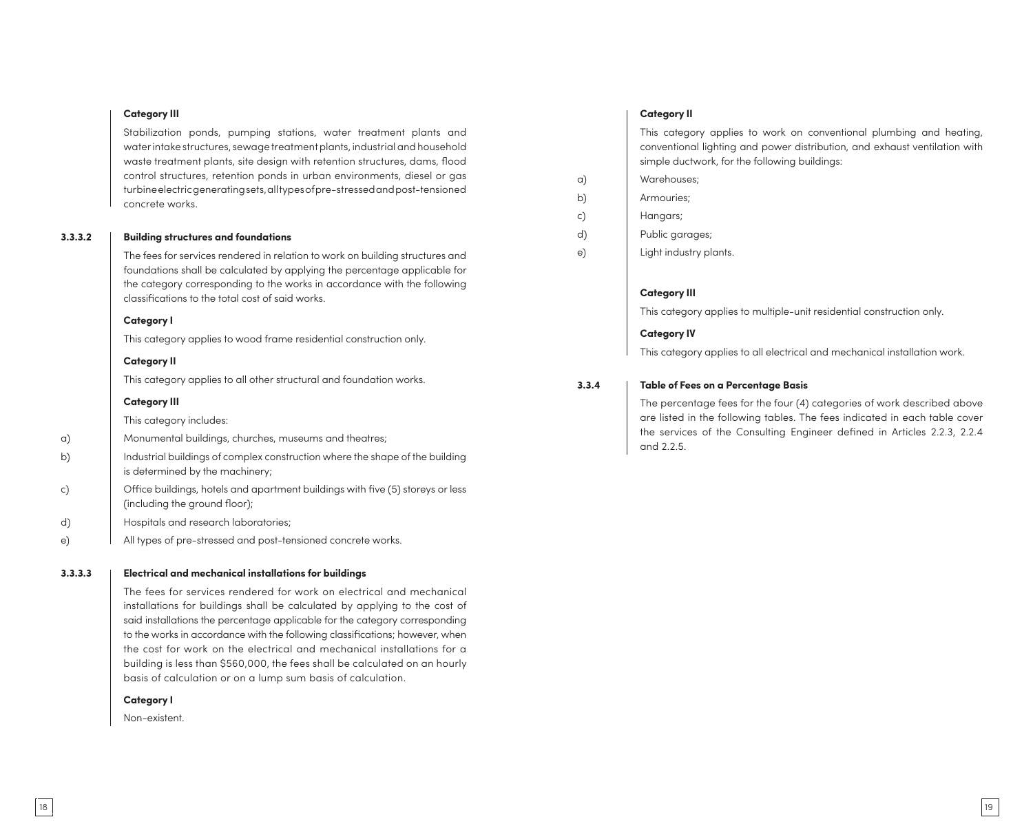#### **Category III**

Stabilization ponds, pumping stations, water treatment plants and water intake structures, sewage treatment plants, industrial and household waste treatment plants, site design with retention structures, dams, flood control structures, retention ponds in urban environments, diesel or gas turbine electric generating sets, all types of pre-stressed and post-tensioned concrete works.

#### **3.3.3.2 Building structures and foundations**

The fees for services rendered in relation to work on building structures and foundations shall be calculated by applying the percentage applicable for the category corresponding to the works in accordance with the following classifications to the total cost of said works.

#### **Category I**

This category applies to wood frame residential construction only.

#### **Category II**

This category applies to all other structural and foundation works.

#### **Category III**

This category includes:

- a) Monumental buildings, churches, museums and theatres;
- b) Industrial buildings of complex construction where the shape of the building is determined by the machinery;
- c) Office buildings, hotels and apartment buildings with five (5) storeys or less (including the ground floor);
- d) Hospitals and research laboratories;
- e) All types of pre-stressed and post-tensioned concrete works.

#### **3.3.3.3 Electrical and mechanical installations for buildings**

The fees for services rendered for work on electrical and mechanical installations for buildings shall be calculated by applying to the cost of said installations the percentage applicable for the category corresponding to the works in accordance with the following classifications; however, when the cost for work on the electrical and mechanical installations for a building is less than \$560,000, the fees shall be calculated on an hourly basis of calculation or on a lump sum basis of calculation.

#### **Category I**

Non-existent.

#### **Category II**

This category applies to work on conventional plumbing and heating, conventional lighting and power distribution, and exhaust ventilation with simple ductwork, for the following buildings:

- a) Warehouses;
- b) Armouries;
- c) Hangars;
- d) Public garages;
- e) Light industry plants.

#### **Category III**

This category applies to multiple-unit residential construction only.

#### **Category IV**

This category applies to all electrical and mechanical installation work.

#### **3.3.4 Table of Fees on a Percentage Basis**

The percentage fees for the four (4) categories of work described above are listed in the following tables. The fees indicated in each table cover the services of the Consulting Engineer defined in Articles 2.2.3, 2.2.4 and 2.2.5.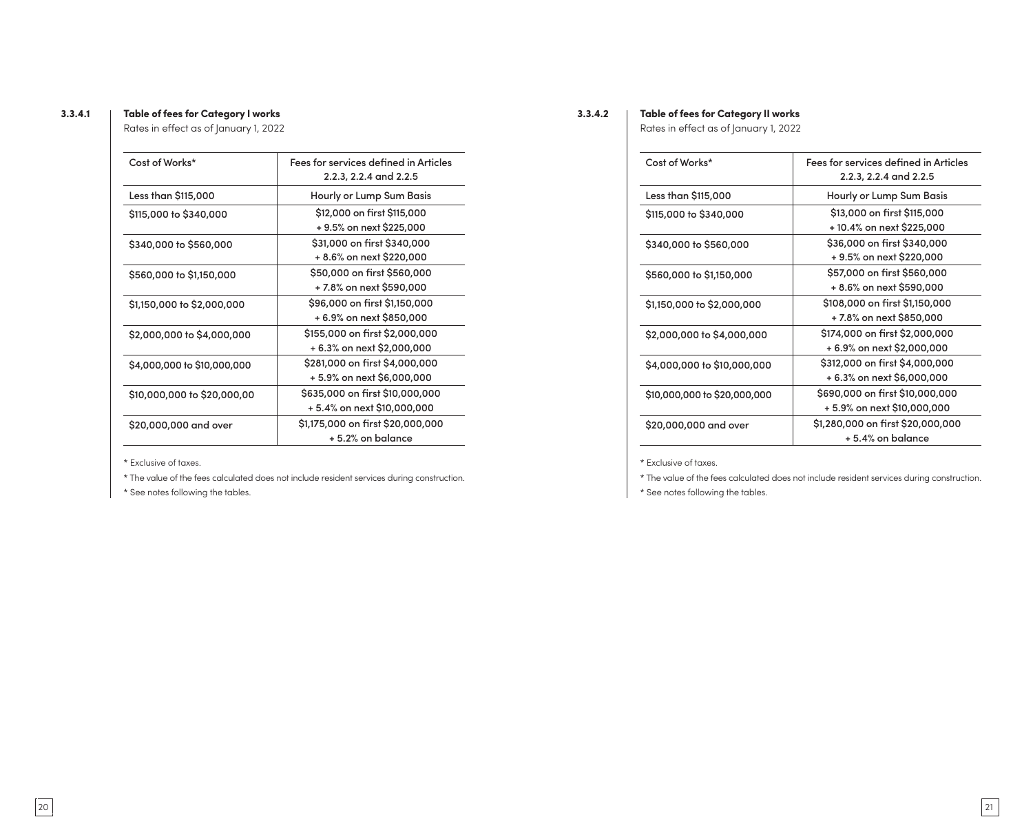## **3.3.4.1 Table of fees for Category I works**

Rates in effect as of January 1, 2022

| Cost of Works*              | Fees for services defined in Articles<br>2.2.3, 2.2.4 and 2.2.5 |
|-----------------------------|-----------------------------------------------------------------|
| Less than \$115,000         | Hourly or Lump Sum Basis                                        |
| \$115,000 to \$340,000      | \$12,000 on first \$115,000                                     |
|                             | + 9.5% on next \$225,000                                        |
| \$340,000 to \$560,000      | \$31,000 on first \$340,000                                     |
|                             | + 8.6% on next \$220,000                                        |
| \$560,000 to \$1,150,000    | \$50,000 on first \$560,000                                     |
|                             | + 7.8% on next \$590,000                                        |
| \$1,150,000 to \$2,000,000  | \$96,000 on first \$1,150,000                                   |
|                             | + 6.9% on next \$850,000                                        |
| \$2,000,000 to \$4,000,000  | \$155,000 on first \$2,000,000                                  |
|                             | + 6.3% on next \$2,000,000                                      |
| \$4,000,000 to \$10,000,000 | \$281,000 on first \$4,000,000                                  |
|                             | + 5.9% on next \$6,000,000                                      |
| \$10,000,000 to \$20,000,00 | \$635,000 on first \$10,000,000                                 |
|                             | + 5.4% on next \$10,000,000                                     |
| \$20,000,000 and over       | \$1,175,000 on first \$20,000,000                               |
|                             | +5.2% on balance                                                |

\* Exclusive of taxes.

\* The value of the fees calculated does not include resident services during construction.

\* See notes following the tables.

**3.3.4.2 Table of fees for Category II works** Rates in effect as of January 1, 2022

| Cost of Works*               | Fees for services defined in Articles<br>2.2.3, 2.2.4 and 2.2.5 |
|------------------------------|-----------------------------------------------------------------|
| Less than \$115,000          | Hourly or Lump Sum Basis                                        |
| \$115,000 to \$340,000       | \$13,000 on first \$115,000<br>+ 10.4% on next \$225,000        |
| \$340,000 to \$560,000       | \$36,000 on first \$340,000<br>+ 9.5% on next \$220,000         |
| \$560,000 to \$1,150,000     | \$57,000 on first \$560,000<br>+ 8.6% on next \$590,000         |
| \$1,150,000 to \$2,000,000   | \$108,000 on first \$1,150,000<br>+ 7.8% on next \$850,000      |
| \$2,000,000 to \$4,000,000   | \$174,000 on first \$2,000,000<br>+ 6.9% on next \$2,000,000    |
| \$4,000,000 to \$10,000,000  | \$312,000 on first \$4,000,000<br>+ 6.3% on next \$6,000,000    |
| \$10,000,000 to \$20,000,000 | \$690,000 on first \$10,000,000<br>+ 5.9% on next \$10,000,000  |
| \$20,000,000 and over        | \$1,280,000 on first \$20,000,000<br>+5.4% on balance           |

\* Exclusive of taxes.

\* The value of the fees calculated does not include resident services during construction.

\* See notes following the tables.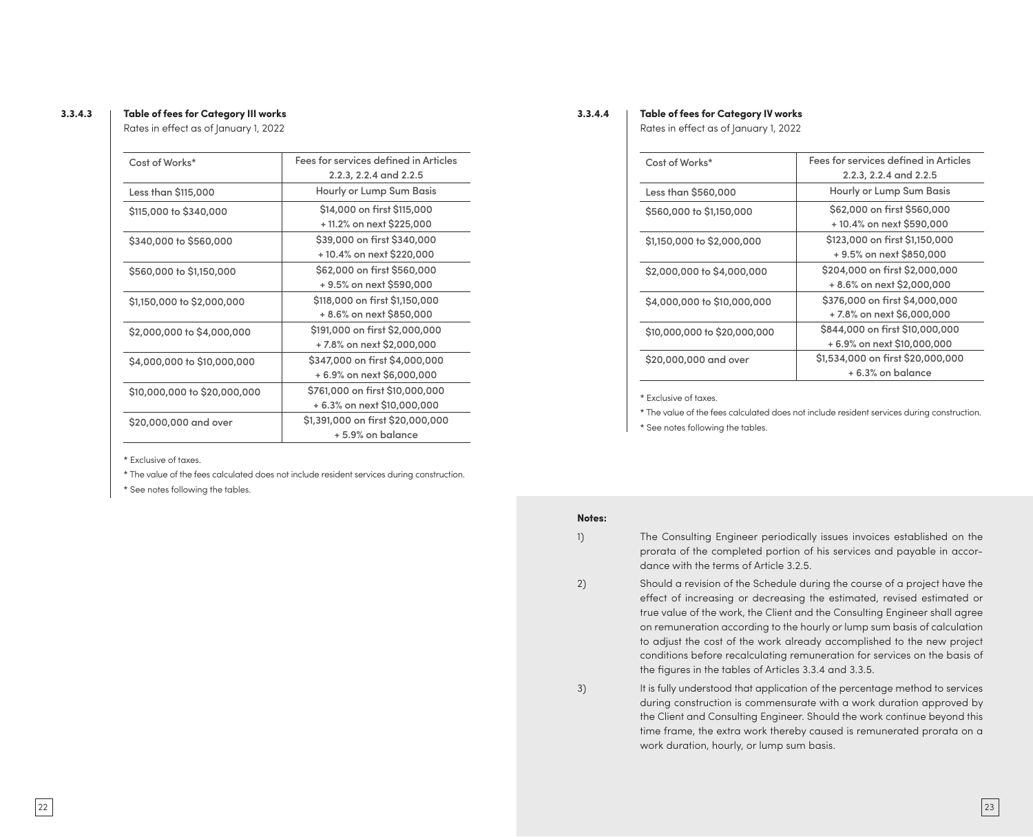### **3.3.4.3 Table of fees for Category III works**

Rates in effect as of January 1, 2022

| Cost of Works*               | Fees for services defined in Articles |
|------------------------------|---------------------------------------|
|                              | 2.2.3, 2.2.4 and 2.2.5                |
| Less than \$115,000          | Hourly or Lump Sum Basis              |
| \$115,000 to \$340,000       | \$14,000 on first \$115,000           |
|                              | +11.2% on next \$225,000              |
| \$340,000 to \$560,000       | \$39,000 on first \$340,000           |
|                              | +10.4% on next \$220,000              |
| \$560,000 to \$1,150,000     | \$62,000 on first \$560,000           |
|                              | + 9.5% on next \$590,000              |
| \$1,150,000 to \$2,000,000   | \$118,000 on first \$1,150,000        |
|                              | + 8.6% on next \$850,000              |
| \$2,000,000 to \$4,000,000   | \$191,000 on first \$2,000,000        |
|                              | +7.8% on next \$2,000,000             |
| \$4,000,000 to \$10,000,000  | \$347,000 on first \$4,000,000        |
|                              | + 6.9% on next \$6,000,000            |
| \$10,000,000 to \$20,000,000 | \$761,000 on first \$10,000,000       |
|                              | + 6.3% on next \$10,000,000           |
| \$20,000,000 and over        | \$1,391,000 on first \$20,000,000     |
|                              | + 5.9% on balance                     |
|                              |                                       |

\* Exclusive of taxes.

\* The value of the fees calculated does not include resident services during construction.

\* See notes following the tables.

#### **3.3.4.4 Table of fees for Category IV works**

Rates in effect as of January 1, 2022

| Cost of Works*               | Fees for services defined in Articles |
|------------------------------|---------------------------------------|
|                              | 2.2.3, 2.2.4 and 2.2.5                |
| Less than \$560,000          | Hourly or Lump Sum Basis              |
| \$560,000 to \$1,150,000     | \$62,000 on first \$560,000           |
|                              | +10.4% on next \$590,000              |
| \$1,150,000 to \$2,000,000   | \$123,000 on first \$1,150,000        |
|                              | + 9.5% on next \$850,000              |
| \$2,000,000 to \$4,000,000   | \$204,000 on first \$2,000,000        |
|                              | + 8.6% on next \$2,000,000            |
| \$4,000,000 to \$10,000,000  | \$376,000 on first \$4,000,000        |
|                              | +7.8% on next \$6,000,000             |
| \$10,000,000 to \$20,000,000 | \$844,000 on first \$10,000,000       |
|                              | + 6.9% on next \$10,000,000           |
| \$20,000,000 and over        | \$1,534,000 on first \$20,000,000     |
|                              | +6.3% on balance                      |

\* Exclusive of taxes.

\* The value of the fees calculated does not include resident services during construction.

\* See notes following the tables.

#### **Notes:**

1) The Consulting Engineer periodically issues invoices established on the prorata of the completed portion of his services and payable in accordance with the terms of Article 3.2.5.

2) Should a revision of the Schedule during the course of a project have the effect of increasing or decreasing the estimated, revised estimated or true value of the work, the Client and the Consulting Engineer shall agree on remuneration according to the hourly or lump sum basis of calculation to adjust the cost of the work already accomplished to the new project conditions before recalculating remuneration for services on the basis of the figures in the tables of Articles 3.3.4 and 3.3.5.

3) It is fully understood that application of the percentage method to services during construction is commensurate with a work duration approved by the Client and Consulting Engineer. Should the work continue beyond this time frame, the extra work thereby caused is remunerated prorata on a work duration, hourly, or lump sum basis.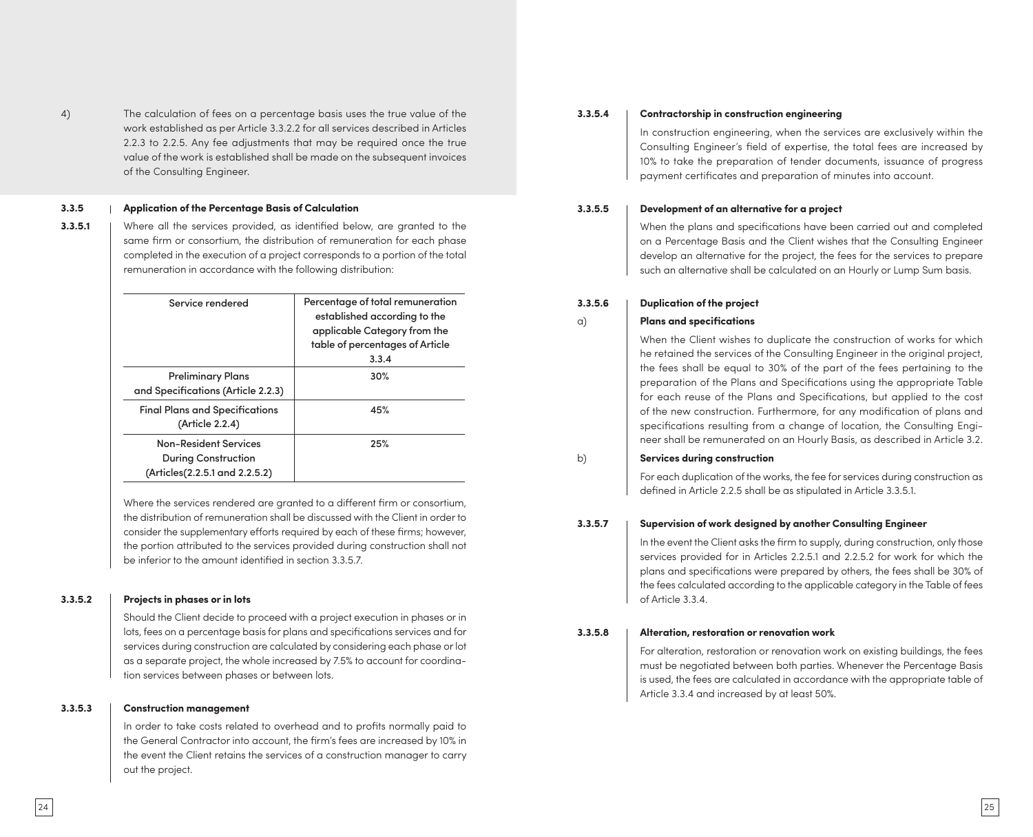4) The calculation of fees on a percentage basis uses the true value of the work established as per Article 3.3.2.2 for all services described in Articles 2.2.3 to 2.2.5. Any fee adjustments that may be required once the true value of the work is established shall be made on the subsequent invoices of the Consulting Engineer.

#### **3.3.5 Application of the Percentage Basis of Calculation**

**3.3.5.1** | Where all the services provided, as identified below, are granted to the same firm or consortium, the distribution of remuneration for each phase completed in the execution of a project corresponds to a portion of the total remuneration in accordance with the following distribution:

| Service rendered                                                                             | Percentage of total remuneration<br>established according to the<br>applicable Category from the<br>table of percentages of Article<br>3.3.4 |
|----------------------------------------------------------------------------------------------|----------------------------------------------------------------------------------------------------------------------------------------------|
| <b>Preliminary Plans</b><br>and Specifications (Article 2.2.3)                               | 30%                                                                                                                                          |
| <b>Final Plans and Specifications</b><br>(Article 2.2.4)                                     | 45%                                                                                                                                          |
| <b>Non-Resident Services</b><br><b>During Construction</b><br>(Articles(2.2.5.1 and 2.2.5.2) | 25%                                                                                                                                          |

Where the services rendered are granted to a different firm or consortium, the distribution of remuneration shall be discussed with the Client in order to consider the supplementary efforts required by each of these firms; however, the portion attributed to the services provided during construction shall not be inferior to the amount identified in section 3.3.5.7.

#### **3.3.5.2 Projects in phases or in lots**

Should the Client decide to proceed with a project execution in phases or in lots, fees on a percentage basis for plans and specifications services and for services during construction are calculated by considering each phase or lot as a separate project, the whole increased by 7.5% to account for coordination services between phases or between lots.

#### **3.3.5.3 Construction management**

In order to take costs related to overhead and to profits normally paid to the General Contractor into account, the firm's fees are increased by 10% in the event the Client retains the services of a construction manager to carry out the project.

#### **3.3.5.4 Contractorship in construction engineering**

In construction engineering, when the services are exclusively within the Consulting Engineer's field of expertise, the total fees are increased by 10% to take the preparation of tender documents, issuance of progress payment certificates and preparation of minutes into account.

#### **3.3.5.5 Development of an alternative for a project**

When the plans and specifications have been carried out and completed on a Percentage Basis and the Client wishes that the Consulting Engineer develop an alternative for the project, the fees for the services to prepare such an alternative shall be calculated on an Hourly or Lump Sum basis.

#### **3.3.5.6 Duplication of the project**

#### a) **Plans and specifications**

When the Client wishes to duplicate the construction of works for which he retained the services of the Consulting Engineer in the original project, the fees shall be equal to 30% of the part of the fees pertaining to the preparation of the Plans and Specifications using the appropriate Table for each reuse of the Plans and Specifications, but applied to the cost of the new construction. Furthermore, for any modification of plans and specifications resulting from a change of location, the Consulting Engineer shall be remunerated on an Hourly Basis, as described in Article 3.2.

#### b) **Services during construction**

For each duplication of the works, the fee for services during construction as defined in Article 2.2.5 shall be as stipulated in Article 3.3.5.1.

#### **3.3.5.7 Supervision of work designed by another Consulting Engineer**

In the event the Client asks the firm to supply, during construction, only those services provided for in Articles 2.2.5.1 and 2.2.5.2 for work for which the plans and specifications were prepared by others, the fees shall be 30% of the fees calculated according to the applicable category in the Table of fees of Article 3.3.4.

#### **3.3.5.8 Alteration, restoration or renovation work**

For alteration, restoration or renovation work on existing buildings, the fees must be negotiated between both parties. Whenever the Percentage Basis is used, the fees are calculated in accordance with the appropriate table of Article 3.3.4 and increased by at least 50%.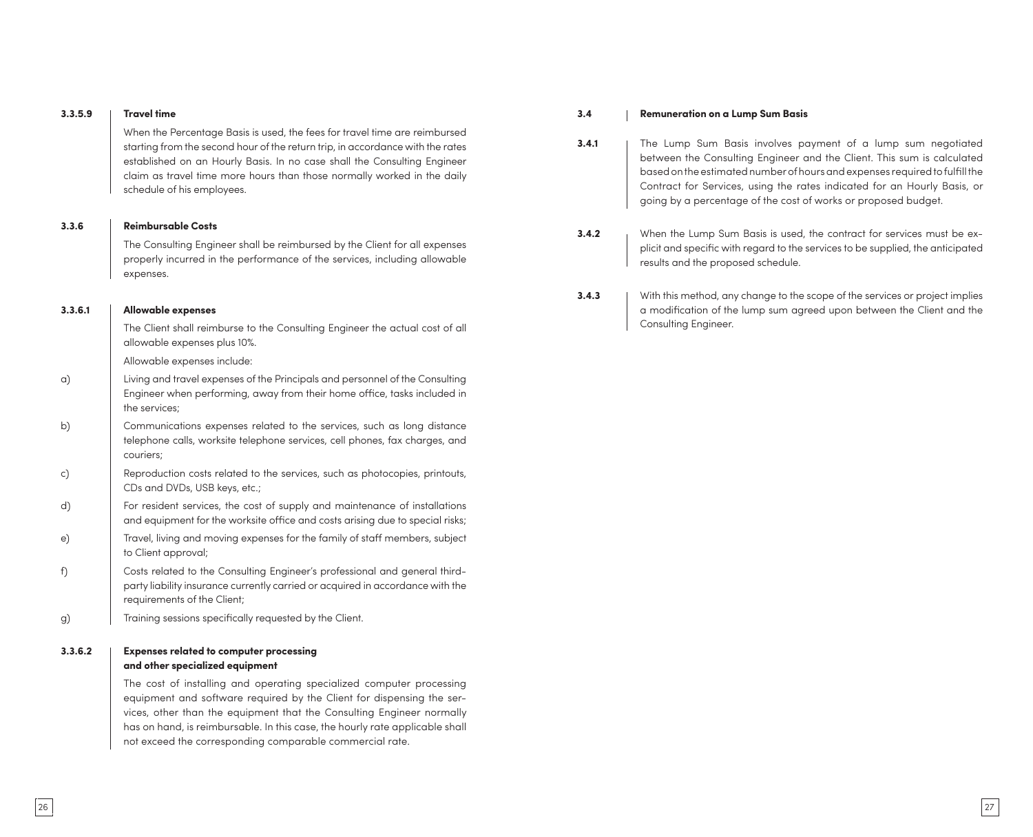#### **3.3.5.9 Travel time**

When the Percentage Basis is used, the fees for travel time are reimbursed starting from the second hour of the return trip, in accordance with the rates established on an Hourly Basis. In no case shall the Consulting Engineer claim as travel time more hours than those normally worked in the daily schedule of his employees.

#### **3.3.6 Reimbursable Costs**

The Consulting Engineer shall be reimbursed by the Client for all expenses properly incurred in the performance of the services, including allowable expenses.

#### **3.3.6.1 Allowable expenses**

The Client shall reimburse to the Consulting Engineer the actual cost of all allowable expenses plus 10%.

Allowable expenses include:

- a) Living and travel expenses of the Principals and personnel of the Consulting Engineer when performing, away from their home office, tasks included in the services;
- b) Communications expenses related to the services, such as long distance telephone calls, worksite telephone services, cell phones, fax charges, and couriers;
- c) Reproduction costs related to the services, such as photocopies, printouts, CDs and DVDs, USB keys, etc.;
- d) For resident services, the cost of supply and maintenance of installations and equipment for the worksite office and costs arising due to special risks;
- e) Travel, living and moving expenses for the family of staff members, subject to Client approval;
- f) Costs related to the Consulting Engineer's professional and general thirdparty liability insurance currently carried or acquired in accordance with the requirements of the Client;
- g) Training sessions specifically requested by the Client.

#### **3.3.6.2 Expenses related to computer processing and other specialized equipment**

The cost of installing and operating specialized computer processing equipment and software required by the Client for dispensing the services, other than the equipment that the Consulting Engineer normally has on hand, is reimbursable. In this case, the hourly rate applicable shall not exceed the corresponding comparable commercial rate.

#### **3.4 Remuneration on a Lump Sum Basis**

- **3.4.1** The Lump Sum Basis involves payment of a lump sum negotiated between the Consulting Engineer and the Client. This sum is calculated based on the estimated number of hours and expenses required to fulfill the Contract for Services, using the rates indicated for an Hourly Basis, or going by a percentage of the cost of works or proposed budget.
- **3.4.2** When the Lump Sum Basis is used, the contract for services must be explicit and specific with regard to the services to be supplied, the anticipated results and the proposed schedule.
- **3.4.3** | With this method, any change to the scope of the services or project implies a modification of the lump sum agreed upon between the Client and the Consulting Engineer.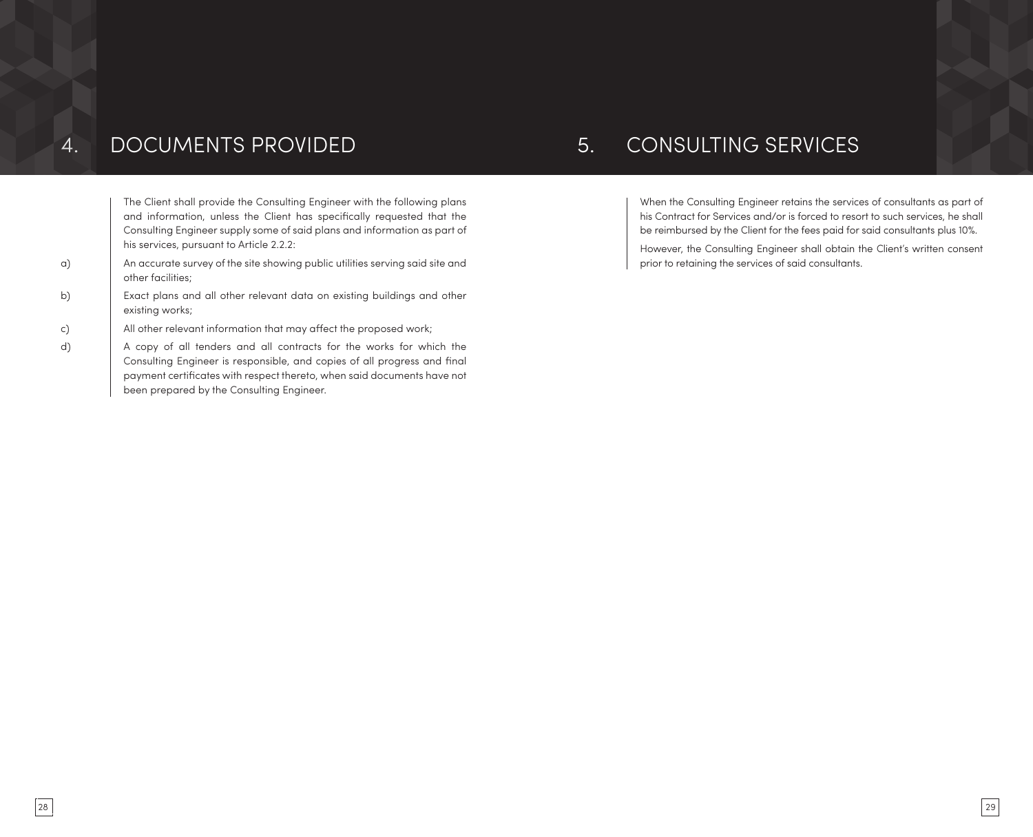# 4. DOCUMENTS PROVIDED 5. CONSULTING SERVICES

The Client shall provide the Consulting Engineer with the following plans and information, unless the Client has specifically requested that the Consulting Engineer supply some of said plans and information as part of his services, pursuant to Article 2.2.2:

- a) An accurate survey of the site showing public utilities serving said site and other facilities;
- b) Exact plans and all other relevant data on existing buildings and other existing works;
- c) All other relevant information that may affect the proposed work;
- d) A copy of all tenders and all contracts for the works for which the Consulting Engineer is responsible, and copies of all progress and final payment certificates with respect thereto, when said documents have not been prepared by the Consulting Engineer.

When the Consulting Engineer retains the services of consultants as part of his Contract for Services and/or is forced to resort to such services, he shall be reimbursed by the Client for the fees paid for said consultants plus 10%.

However, the Consulting Engineer shall obtain the Client's written consent prior to retaining the services of said consultants.